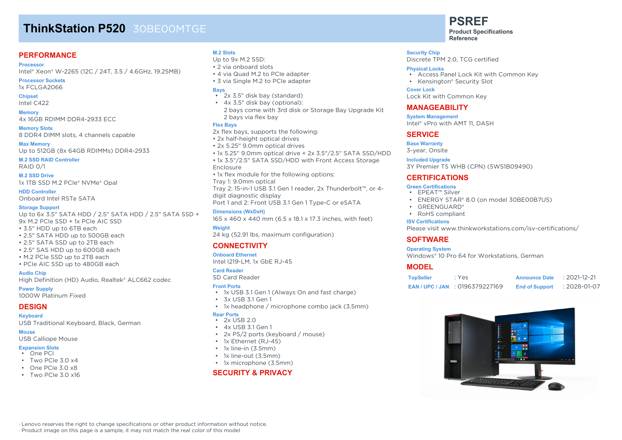# **ThinkStation P520** 30BE00MTGE

### **PERFORMANCE**

#### **Processor**

Intel® Xeon® W-2265 (12C / 24T, 3.5 / 4.6GHz, 19.25MB)

**Processor Sockets** 1x FCLGA2066

**Chipset** Intel C422

**Memory** 4x 16GB RDIMM DDR4-2933 ECC

**Memory Slots** 8 DDR4 DIMM slots, 4 channels capable

**Max Memory** Up to 512GB (8x 64GB RDIMMs) DDR4-2933

**M.2 SSD RAID Controller**

RAID 0/1

**M.2 SSD Drive** 1x 1TB SSD M.2 PCIe® NVMe® Opal

**HDD Controller** Onboard Intel RSTe SATA

#### **Storage Support**

Up to 6x 3.5" SATA HDD / 2.5" SATA HDD / 2.5" SATA SSD + 9x M.2 PCIe SSD + 1x PCIe AIC SSD

- 3.5" HDD up to 6TB each
- 2.5" SATA HDD up to 500GB each
- 2.5" SATA SSD up to 2TB each
- 2.5" SAS HDD up to 600GB each
- M.2 PCIe SSD up to 2TB each
- PCIe AIC SSD up to 480GB each

#### **Audio Chip**

High Definition (HD) Audio, Realtek® ALC662 codec

**Power Supply**

1000W Platinum Fixed

#### **DESIGN**

**Keyboard**

USB Traditional Keyboard, Black, German

**Mouse**

#### USB Calliope Mouse

#### **Expansion Slots** • One PCI

- Two PCIe 3.0 x4
- $\cdot$  One PCIe 3.0 x8
- Two PCIe  $3.0 \times 16$

#### **M.2 Slots**

- Up to 9x M.2 SSD:
- 2 via onboard slots
- 4 via Quad M.2 to PCIe adapter
- 3 via Single M.2 to PCIe adapter

#### **Bays**

- 2x 3.5" disk bay (standard)
- 4x 3.5" disk bay (optional): 2 bays come with 3rd disk or Storage Bay Upgrade Kit
- 2 bays via flex bay **Flex Bays**

2x flex bays, supports the following: • 2x half-height optical drives

- 2x 5.25" 9.0mm optical drives
- 1x 5.25" 9.0mm optical drive + 2x 3.5"/2.5" SATA SSD/HDD
- 1x 3.5"/2.5" SATA SSD/HDD with Front Access Storage

#### Enclosure

• 1x flex module for the following options: Tray 1: 9.0mm optical Tray 2: 15-in-1 USB 3.1 Gen 1 reader, 2x Thunderbolt™, or 4 digit diagnostic display Port 1 and 2: Front USB 3.1 Gen 1 Type-C or eSATA

**Dimensions (WxDxH)**

165 x 460 x 440 mm (6.5 x 18.1 x 17.3 inches, with feet) **Weight**

24 kg (52.91 lbs, maximum configuration)

#### **CONNECTIVITY**

**Onboard Ethernet** Intel I219-LM, 1x GbE RJ-45

#### **Card Reader**

SD Card Reader

#### **Front Ports**

- 1x USB 3.1 Gen 1 (Always On and fast charge)
- 3x USB 3.1 Gen 1
- 1x headphone / microphone combo jack (3.5mm)

#### **Rear Ports**

- $\cdot$  2x USB 2.0 • 4x USB 3.1 Gen 1
- 
- 2x PS/2 ports (keyboard / mouse)
- 1x Ethernet (RJ-45)
- 1x line-in (3.5mm)
- 1x line-out (3.5mm)
- 1x microphone (3.5mm)

#### **SECURITY & PRIVACY**

**PSREF Product Specifications**

**Reference**

#### **Security Chip**

Discrete TPM 2.0, TCG certified

#### **Physical Locks**

- Access Panel Lock Kit with Common Key
- Kensington® Security Slot

#### **Cover Lock**

Lock Kit with Common Key

#### **MANAGEABILITY**

**System Management** Intel® vPro with AMT 11, DASH

#### **SERVICE**

**Base Warranty** 3-year, Onsite

**Included Upgrade** 3Y Premier TS WHB (CPN) (5WS1B09490)

#### **CERTIFICATIONS**

#### **Green Certifications**

- EPEAT™ Silver
- ENERGY STAR® 8.0 (on model 30BE00B7US)
- GREENGUARD®
- RoHS compliant

#### **ISV Certifications**

Please visit www.thinkworkstations.com/isv-certifications/

#### **SOFTWARE**

#### **Operating System**

Windows® 10 Pro 64 for Workstations, German

#### **MODEL**

| <b>TopSeller</b> | : Yes                              | <b>Announce Date</b>  | $: 2021 - 12 - 21$ |
|------------------|------------------------------------|-----------------------|--------------------|
|                  | <b>EAN/UPC/JAN : 0196379227169</b> | <b>End of Support</b> | : 2028-01-07       |



· Lenovo reserves the right to change specifications or other product information without notice. · Product image on this page is a sample, it may not match the real color of this model